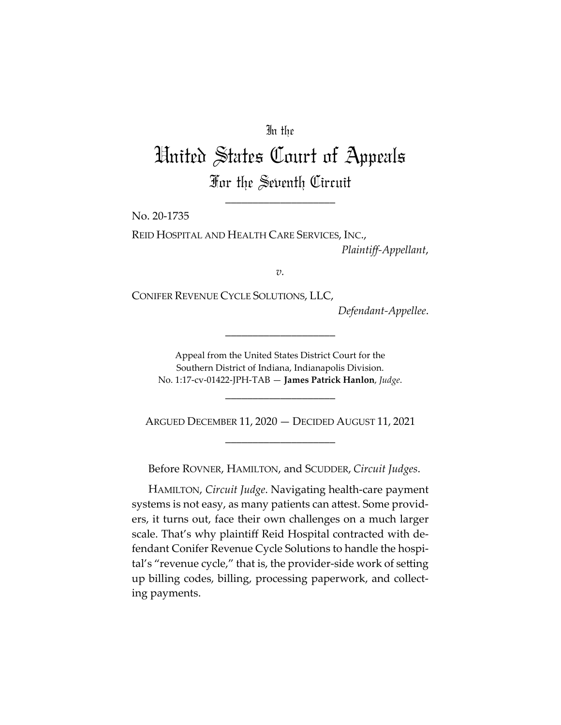# In the

# United States Court of Appeals For the Seventh Circuit

\_\_\_\_\_\_\_\_\_\_\_\_\_\_\_\_\_\_\_\_

No. 20-1735

REID HOSPITAL AND HEALTH CARE SERVICES, INC., *Plaintiff-Appellant*,

*v.*

CONIFER REVENUE CYCLE SOLUTIONS, LLC,

*Defendant-Appellee*.

Appeal from the United States District Court for the Southern District of Indiana, Indianapolis Division. No. 1:17-cv-01422-JPH-TAB — **James Patrick Hanlon**, *Judge*.

\_\_\_\_\_\_\_\_\_\_\_\_\_\_\_\_\_\_\_\_

\_\_\_\_\_\_\_\_\_\_\_\_\_\_\_\_\_\_\_\_

ARGUED DECEMBER 11, 2020 — DECIDED AUGUST 11, 2021 \_\_\_\_\_\_\_\_\_\_\_\_\_\_\_\_\_\_\_\_

Before ROVNER, HAMILTON, and SCUDDER, *Circuit Judges*.

HAMILTON, *Circuit Judge*. Navigating health-care payment systems is not easy, as many patients can attest. Some providers, it turns out, face their own challenges on a much larger scale. That's why plaintiff Reid Hospital contracted with defendant Conifer Revenue Cycle Solutions to handle the hospital's "revenue cycle," that is, the provider-side work of setting up billing codes, billing, processing paperwork, and collecting payments.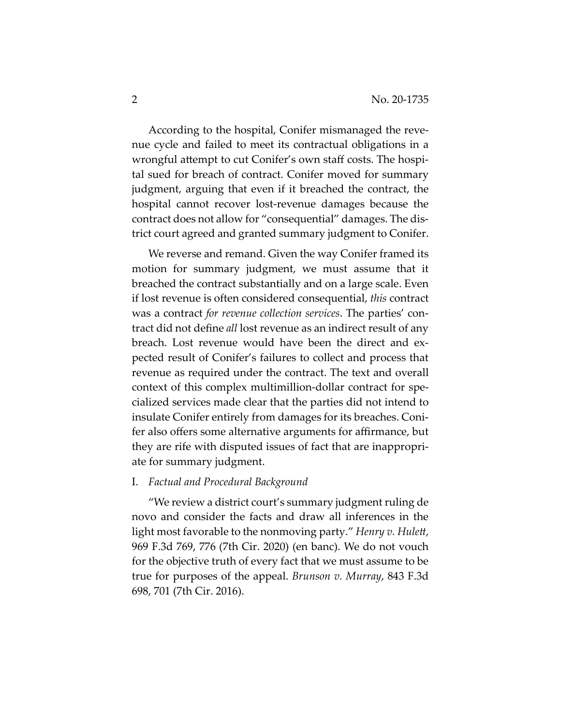According to the hospital, Conifer mismanaged the revenue cycle and failed to meet its contractual obligations in a wrongful attempt to cut Conifer's own staff costs. The hospital sued for breach of contract. Conifer moved for summary judgment, arguing that even if it breached the contract, the hospital cannot recover lost-revenue damages because the contract does not allow for "consequential" damages. The district court agreed and granted summary judgment to Conifer.

We reverse and remand. Given the way Conifer framed its motion for summary judgment, we must assume that it breached the contract substantially and on a large scale. Even if lost revenue is often considered consequential, *this* contract was a contract *for revenue collection services*. The parties' contract did not define *all* lost revenue as an indirect result of any breach. Lost revenue would have been the direct and expected result of Conifer's failures to collect and process that revenue as required under the contract. The text and overall context of this complex multimillion-dollar contract for specialized services made clear that the parties did not intend to insulate Conifer entirely from damages for its breaches. Conifer also offers some alternative arguments for affirmance, but they are rife with disputed issues of fact that are inappropriate for summary judgment.

#### I. *Factual and Procedural Background*

"We review a district court's summary judgment ruling de novo and consider the facts and draw all inferences in the light most favorable to the nonmoving party." *Henry v. Hulett*, 969 F.3d 769, 776 (7th Cir. 2020) (en banc). We do not vouch for the objective truth of every fact that we must assume to be true for purposes of the appeal. *Brunson v. Murray*, 843 F.3d 698, 701 (7th Cir. 2016).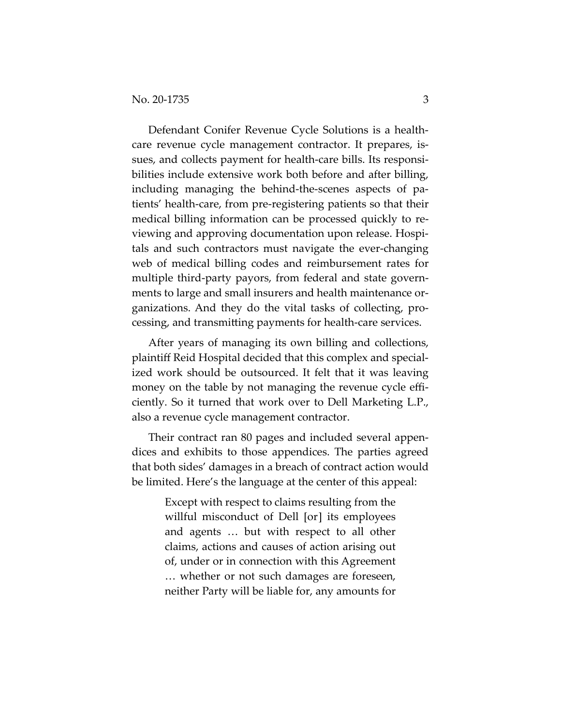Defendant Conifer Revenue Cycle Solutions is a healthcare revenue cycle management contractor. It prepares, issues, and collects payment for health-care bills. Its responsibilities include extensive work both before and after billing, including managing the behind-the-scenes aspects of patients' health-care, from pre-registering patients so that their medical billing information can be processed quickly to reviewing and approving documentation upon release. Hospitals and such contractors must navigate the ever-changing web of medical billing codes and reimbursement rates for multiple third-party payors, from federal and state governments to large and small insurers and health maintenance organizations. And they do the vital tasks of collecting, processing, and transmitting payments for health-care services.

After years of managing its own billing and collections, plaintiff Reid Hospital decided that this complex and specialized work should be outsourced. It felt that it was leaving money on the table by not managing the revenue cycle efficiently. So it turned that work over to Dell Marketing L.P., also a revenue cycle management contractor.

Their contract ran 80 pages and included several appendices and exhibits to those appendices. The parties agreed that both sides' damages in a breach of contract action would be limited. Here's the language at the center of this appeal:

> Except with respect to claims resulting from the willful misconduct of Dell [or] its employees and agents … but with respect to all other claims, actions and causes of action arising out of, under or in connection with this Agreement … whether or not such damages are foreseen, neither Party will be liable for, any amounts for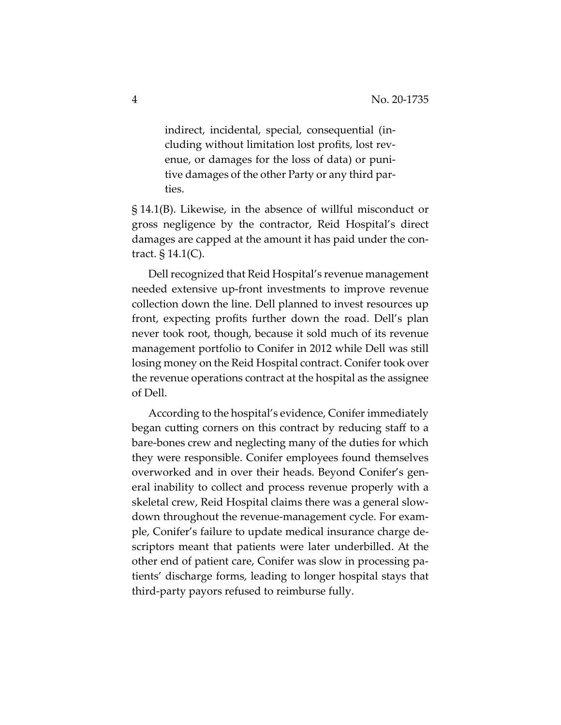indirect, incidental, special, consequential (including without limitation lost profits, lost revenue, or damages for the loss of data) or punitive damages of the other Party or any third parties.

§ 14.1(B). Likewise, in the absence of willful misconduct or gross negligence by the contractor, Reid Hospital's direct damages are capped at the amount it has paid under the contract. § 14.1(C).

Dell recognized that Reid Hospital's revenue management needed extensive up-front investments to improve revenue collection down the line. Dell planned to invest resources up front, expecting profits further down the road. Dell's plan never took root, though, because it sold much of its revenue management portfolio to Conifer in 2012 while Dell was still losing money on the Reid Hospital contract. Conifer took over the revenue operations contract at the hospital as the assignee of Dell.

According to the hospital's evidence, Conifer immediately began cutting corners on this contract by reducing staff to a bare-bones crew and neglecting many of the duties for which they were responsible. Conifer employees found themselves overworked and in over their heads. Beyond Conifer's general inability to collect and process revenue properly with a skeletal crew, Reid Hospital claims there was a general slowdown throughout the revenue-management cycle. For example, Conifer's failure to update medical insurance charge descriptors meant that patients were later underbilled. At the other end of patient care, Conifer was slow in processing patients' discharge forms, leading to longer hospital stays that third-party payors refused to reimburse fully.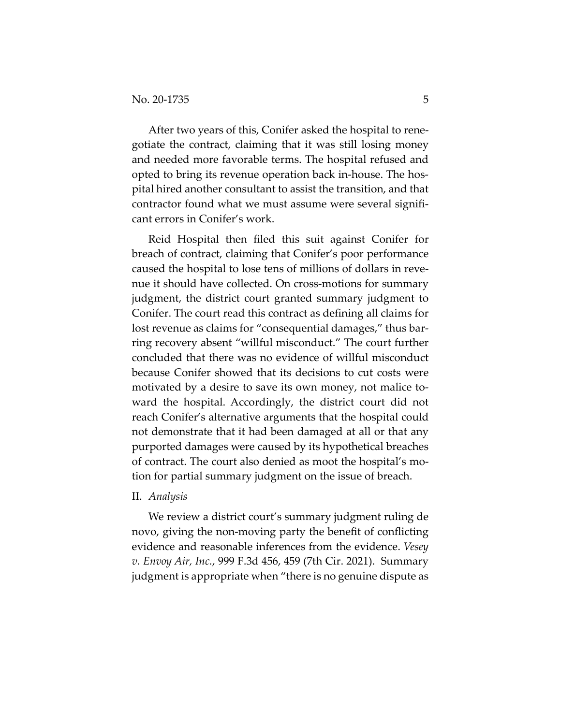After two years of this, Conifer asked the hospital to renegotiate the contract, claiming that it was still losing money and needed more favorable terms. The hospital refused and opted to bring its revenue operation back in-house. The hospital hired another consultant to assist the transition, and that contractor found what we must assume were several significant errors in Conifer's work.

Reid Hospital then filed this suit against Conifer for breach of contract, claiming that Conifer's poor performance caused the hospital to lose tens of millions of dollars in revenue it should have collected. On cross-motions for summary judgment, the district court granted summary judgment to Conifer. The court read this contract as defining all claims for lost revenue as claims for "consequential damages," thus barring recovery absent "willful misconduct." The court further concluded that there was no evidence of willful misconduct because Conifer showed that its decisions to cut costs were motivated by a desire to save its own money, not malice toward the hospital. Accordingly, the district court did not reach Conifer's alternative arguments that the hospital could not demonstrate that it had been damaged at all or that any purported damages were caused by its hypothetical breaches of contract. The court also denied as moot the hospital's motion for partial summary judgment on the issue of breach.

#### II. *Analysis*

We review a district court's summary judgment ruling de novo, giving the non-moving party the benefit of conflicting evidence and reasonable inferences from the evidence. *Vesey v. Envoy Air, Inc.*, 999 F.3d 456, 459 (7th Cir. 2021). Summary judgment is appropriate when "there is no genuine dispute as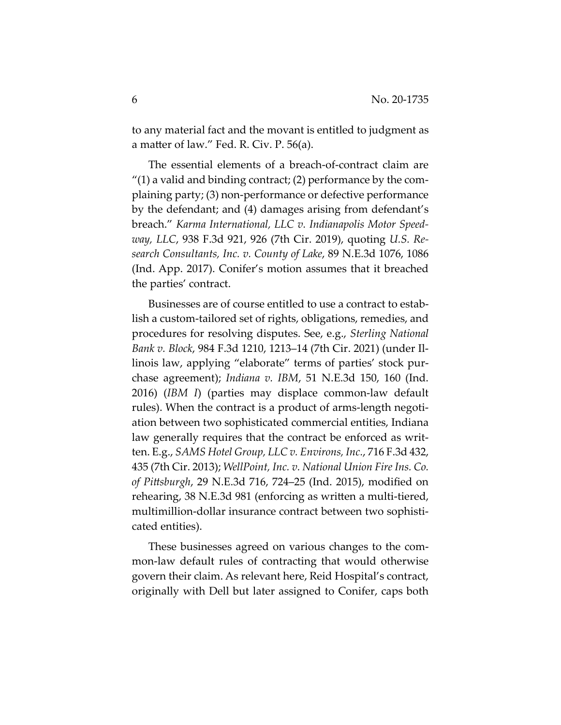to any material fact and the movant is entitled to judgment as a matter of law." Fed. R. Civ. P. 56(a).

The essential elements of a breach-of-contract claim are  $''(1)$  a valid and binding contract; (2) performance by the complaining party; (3) non-performance or defective performance by the defendant; and (4) damages arising from defendant's breach." *Karma International, LLC v. Indianapolis Motor Speedway, LLC*, 938 F.3d 921, 926 (7th Cir. 2019), quoting *U.S. Research Consultants, Inc. v. County of Lake*, 89 N.E.3d 1076, 1086 (Ind. App. 2017). Conifer's motion assumes that it breached the parties' contract.

Businesses are of course entitled to use a contract to establish a custom-tailored set of rights, obligations, remedies, and procedures for resolving disputes. See, e.g., *Sterling National Bank v. Block*, 984 F.3d 1210, 1213–14 (7th Cir. 2021) (under Illinois law, applying "elaborate" terms of parties' stock purchase agreement); *Indiana v. IBM*, 51 N.E.3d 150, 160 (Ind. 2016) (*IBM I*) (parties may displace common-law default rules). When the contract is a product of arms-length negotiation between two sophisticated commercial entities, Indiana law generally requires that the contract be enforced as written. E.g., *SAMS Hotel Group, LLC v. Environs, Inc.*, 716 F.3d 432, 435 (7th Cir. 2013); *WellPoint, Inc. v. National Union Fire Ins. Co. of Pittsburgh*, 29 N.E.3d 716, 724–25 (Ind. 2015), modified on rehearing, 38 N.E.3d 981 (enforcing as written a multi-tiered, multimillion-dollar insurance contract between two sophisticated entities).

These businesses agreed on various changes to the common-law default rules of contracting that would otherwise govern their claim. As relevant here, Reid Hospital's contract, originally with Dell but later assigned to Conifer, caps both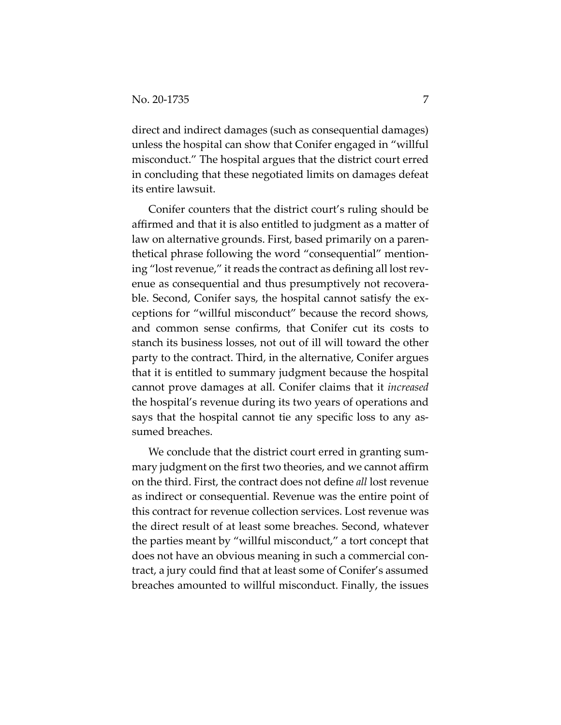direct and indirect damages (such as consequential damages) unless the hospital can show that Conifer engaged in "willful misconduct." The hospital argues that the district court erred in concluding that these negotiated limits on damages defeat its entire lawsuit.

Conifer counters that the district court's ruling should be affirmed and that it is also entitled to judgment as a matter of law on alternative grounds. First, based primarily on a parenthetical phrase following the word "consequential" mentioning "lost revenue," it reads the contract as defining all lost revenue as consequential and thus presumptively not recoverable. Second, Conifer says, the hospital cannot satisfy the exceptions for "willful misconduct" because the record shows, and common sense confirms, that Conifer cut its costs to stanch its business losses, not out of ill will toward the other party to the contract. Third, in the alternative, Conifer argues that it is entitled to summary judgment because the hospital cannot prove damages at all. Conifer claims that it *increased* the hospital's revenue during its two years of operations and says that the hospital cannot tie any specific loss to any assumed breaches.

We conclude that the district court erred in granting summary judgment on the first two theories, and we cannot affirm on the third. First, the contract does not define *all* lost revenue as indirect or consequential. Revenue was the entire point of this contract for revenue collection services. Lost revenue was the direct result of at least some breaches. Second, whatever the parties meant by "willful misconduct," a tort concept that does not have an obvious meaning in such a commercial contract, a jury could find that at least some of Conifer's assumed breaches amounted to willful misconduct. Finally, the issues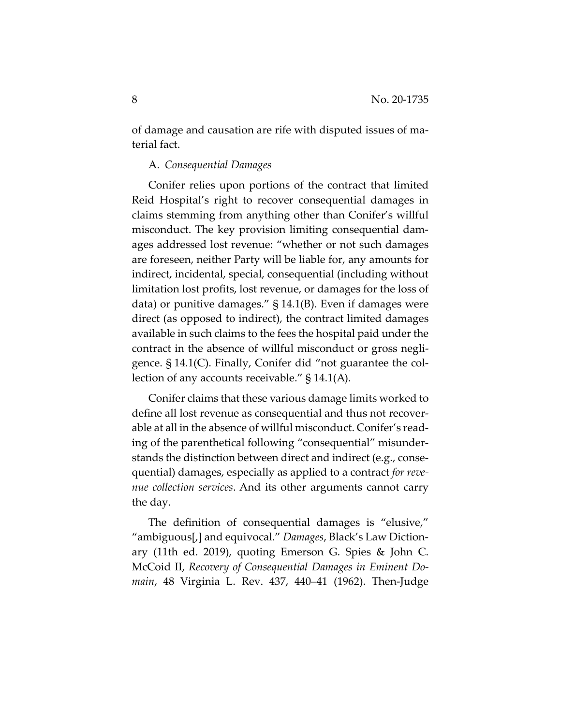of damage and causation are rife with disputed issues of material fact.

## A. *Consequential Damages*

Conifer relies upon portions of the contract that limited Reid Hospital's right to recover consequential damages in claims stemming from anything other than Conifer's willful misconduct. The key provision limiting consequential damages addressed lost revenue: "whether or not such damages are foreseen, neither Party will be liable for, any amounts for indirect, incidental, special, consequential (including without limitation lost profits, lost revenue, or damages for the loss of data) or punitive damages." § 14.1(B). Even if damages were direct (as opposed to indirect), the contract limited damages available in such claims to the fees the hospital paid under the contract in the absence of willful misconduct or gross negligence. § 14.1(C). Finally, Conifer did "not guarantee the collection of any accounts receivable." § 14.1(A).

Conifer claims that these various damage limits worked to define all lost revenue as consequential and thus not recoverable at all in the absence of willful misconduct. Conifer's reading of the parenthetical following "consequential" misunderstands the distinction between direct and indirect (e.g., consequential) damages, especially as applied to a contract *for revenue collection services*. And its other arguments cannot carry the day.

The definition of consequential damages is "elusive," "ambiguous[,] and equivocal." *Damages*, Black's Law Dictionary (11th ed. 2019), quoting Emerson G. Spies & John C. McCoid II, *Recovery of Consequential Damages in Eminent Domain*, 48 Virginia L. Rev. 437, 440–41 (1962). Then-Judge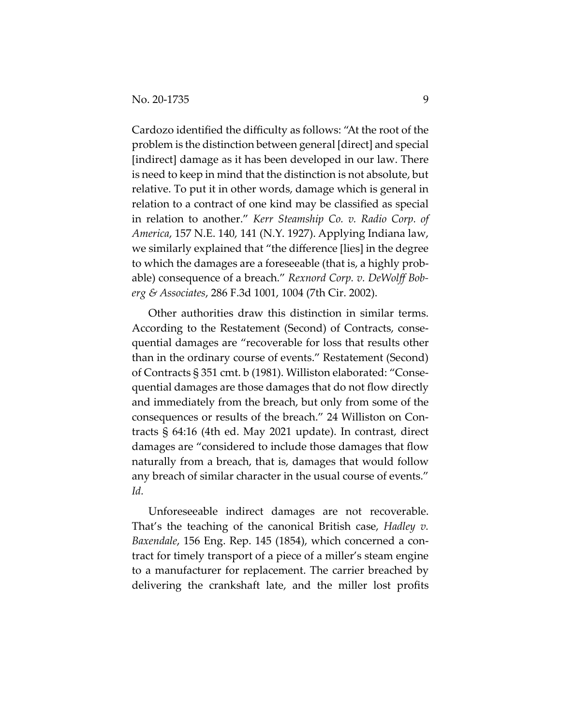Cardozo identified the difficulty as follows: "At the root of the problem is the distinction between general [direct] and special [indirect] damage as it has been developed in our law. There is need to keep in mind that the distinction is not absolute, but relative. To put it in other words, damage which is general in relation to a contract of one kind may be classified as special in relation to another." *Kerr Steamship Co. v. Radio Corp. of America*, 157 N.E. 140, 141 (N.Y. 1927). Applying Indiana law, we similarly explained that "the difference [lies] in the degree to which the damages are a foreseeable (that is, a highly probable) consequence of a breach." *Rexnord Corp. v. DeWolff Boberg & Associates*, 286 F.3d 1001, 1004 (7th Cir. 2002).

Other authorities draw this distinction in similar terms. According to the Restatement (Second) of Contracts, consequential damages are "recoverable for loss that results other than in the ordinary course of events." Restatement (Second) of Contracts § 351 cmt. b (1981). Williston elaborated: "Consequential damages are those damages that do not flow directly and immediately from the breach, but only from some of the consequences or results of the breach." 24 Williston on Contracts § 64:16 (4th ed. May 2021 update). In contrast, direct damages are "considered to include those damages that flow naturally from a breach, that is, damages that would follow any breach of similar character in the usual course of events." *Id.*

Unforeseeable indirect damages are not recoverable. That's the teaching of the canonical British case, *Hadley v. Baxendale*, 156 Eng. Rep. 145 (1854), which concerned a contract for timely transport of a piece of a miller's steam engine to a manufacturer for replacement. The carrier breached by delivering the crankshaft late, and the miller lost profits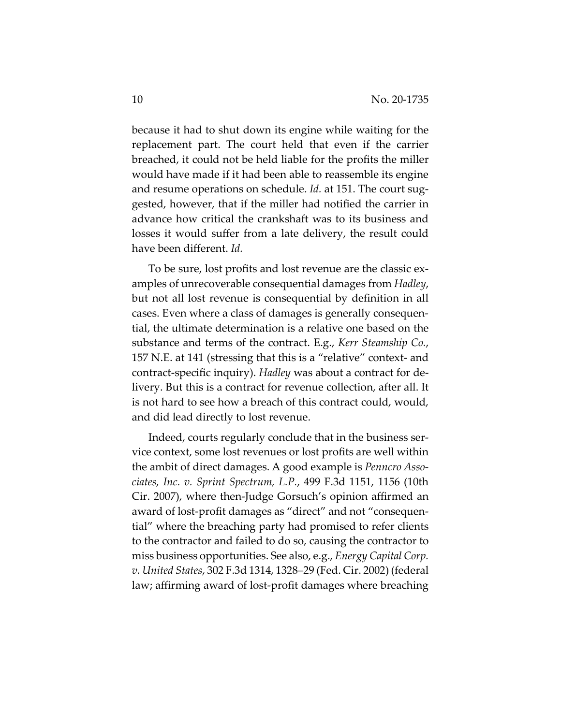because it had to shut down its engine while waiting for the replacement part. The court held that even if the carrier breached, it could not be held liable for the profits the miller would have made if it had been able to reassemble its engine and resume operations on schedule. *Id.* at 151. The court suggested, however, that if the miller had notified the carrier in advance how critical the crankshaft was to its business and losses it would suffer from a late delivery, the result could have been different. *Id.*

To be sure, lost profits and lost revenue are the classic examples of unrecoverable consequential damages from *Hadley*, but not all lost revenue is consequential by definition in all cases. Even where a class of damages is generally consequential, the ultimate determination is a relative one based on the substance and terms of the contract. E.g., *Kerr Steamship Co.*, 157 N.E. at 141 (stressing that this is a "relative" context- and contract-specific inquiry). *Hadley* was about a contract for delivery. But this is a contract for revenue collection, after all. It is not hard to see how a breach of this contract could, would, and did lead directly to lost revenue.

Indeed, courts regularly conclude that in the business service context, some lost revenues or lost profits are well within the ambit of direct damages. A good example is *Penncro Associates, Inc. v. Sprint Spectrum, L.P.*, 499 F.3d 1151, 1156 (10th Cir. 2007), where then-Judge Gorsuch's opinion affirmed an award of lost-profit damages as "direct" and not "consequential" where the breaching party had promised to refer clients to the contractor and failed to do so, causing the contractor to miss business opportunities. See also, e.g., *Energy Capital Corp. v. United States*, 302 F.3d 1314, 1328–29 (Fed. Cir. 2002) (federal law; affirming award of lost-profit damages where breaching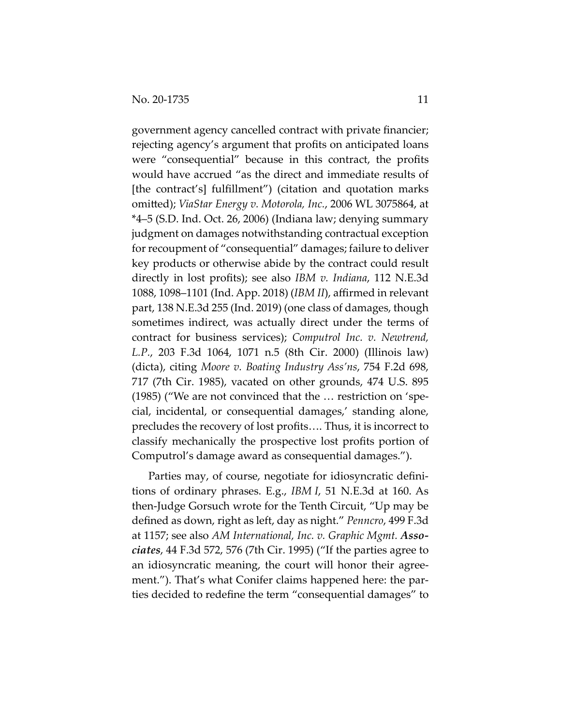government agency cancelled contract with private financier; rejecting agency's argument that profits on anticipated loans were "consequential" because in this contract, the profits would have accrued "as the direct and immediate results of [the contract's] fulfillment") (citation and quotation marks omitted); *ViaStar Energy v. Motorola, Inc.*, 2006 WL 3075864, at \*4–5 (S.D. Ind. Oct. 26, 2006) (Indiana law; denying summary judgment on damages notwithstanding contractual exception for recoupment of "consequential" damages; failure to deliver key products or otherwise abide by the contract could result directly in lost profits); see also *IBM v. Indiana*, 112 N.E.3d 1088, 1098–1101 (Ind. App. 2018) (*IBM II*), affirmed in relevant part, 138 N.E.3d 255 (Ind. 2019) (one class of damages, though sometimes indirect, was actually direct under the terms of contract for business services); *Computrol Inc. v. Newtrend, L.P.*, 203 F.3d 1064, 1071 n.5 (8th Cir. 2000) (Illinois law) (dicta), citing *Moore v. Boating Industry Ass'ns*, 754 F.2d 698, 717 (7th Cir. 1985), vacated on other grounds, 474 U.S. 895 (1985) ("We are not convinced that the … restriction on 'special, incidental, or consequential damages,' standing alone, precludes the recovery of lost profits…. Thus, it is incorrect to classify mechanically the prospective lost profits portion of Computrol's damage award as consequential damages.").

Parties may, of course, negotiate for idiosyncratic definitions of ordinary phrases. E.g., *IBM I*, 51 N.E.3d at 160. As then-Judge Gorsuch wrote for the Tenth Circuit, "Up may be defined as down, right as left, day as night." *Penncro*, 499 F.3d at 1157; see also *AM International, Inc. v. Graphic Mgmt. Associates*, 44 F.3d 572, 576 (7th Cir. 1995) ("If the parties agree to an idiosyncratic meaning, the court will honor their agreement."). That's what Conifer claims happened here: the parties decided to redefine the term "consequential damages" to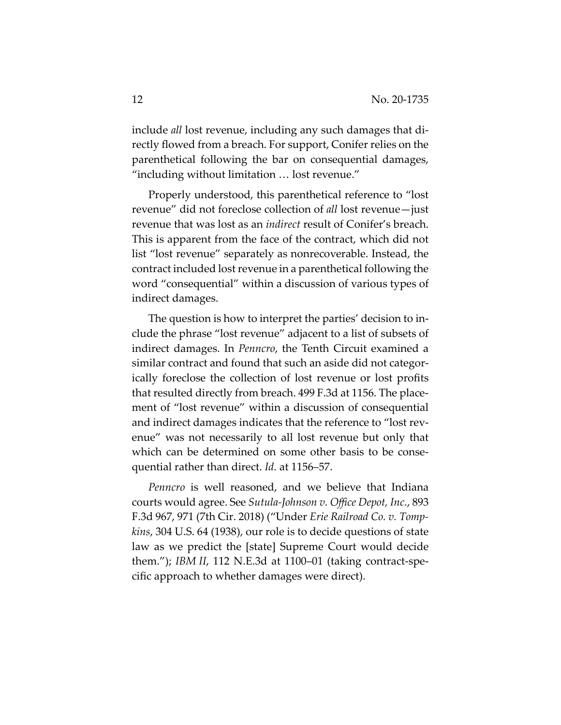include *all* lost revenue, including any such damages that directly flowed from a breach. For support, Conifer relies on the parenthetical following the bar on consequential damages, "including without limitation … lost revenue."

Properly understood, this parenthetical reference to "lost revenue" did not foreclose collection of *all* lost revenue—just revenue that was lost as an *indirect* result of Conifer's breach. This is apparent from the face of the contract, which did not list "lost revenue" separately as nonrecoverable. Instead, the contract included lost revenue in a parenthetical following the word "consequential" within a discussion of various types of indirect damages.

The question is how to interpret the parties' decision to include the phrase "lost revenue" adjacent to a list of subsets of indirect damages. In *Penncro*, the Tenth Circuit examined a similar contract and found that such an aside did not categorically foreclose the collection of lost revenue or lost profits that resulted directly from breach. 499 F.3d at 1156. The placement of "lost revenue" within a discussion of consequential and indirect damages indicates that the reference to "lost revenue" was not necessarily to all lost revenue but only that which can be determined on some other basis to be consequential rather than direct. *Id.* at 1156–57.

*Penncro* is well reasoned, and we believe that Indiana courts would agree. See *Sutula-Johnson v. Office Depot, Inc.*, 893 F.3d 967, 971 (7th Cir. 2018) ("Under *Erie Railroad Co. v. Tompkins*, 304 U.S. 64 (1938), our role is to decide questions of state law as we predict the [state] Supreme Court would decide them."); *IBM II*, 112 N.E.3d at 1100–01 (taking contract-specific approach to whether damages were direct).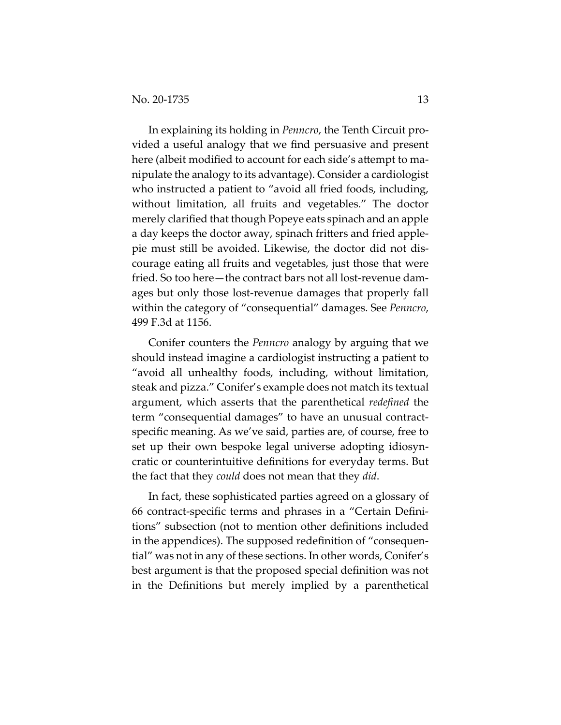In explaining its holding in *Penncro*, the Tenth Circuit provided a useful analogy that we find persuasive and present here (albeit modified to account for each side's attempt to manipulate the analogy to its advantage). Consider a cardiologist who instructed a patient to "avoid all fried foods, including, without limitation, all fruits and vegetables." The doctor merely clarified that though Popeye eats spinach and an apple a day keeps the doctor away, spinach fritters and fried applepie must still be avoided. Likewise, the doctor did not discourage eating all fruits and vegetables, just those that were fried. So too here—the contract bars not all lost-revenue damages but only those lost-revenue damages that properly fall within the category of "consequential" damages. See *Penncro*, 499 F.3d at 1156.

Conifer counters the *Penncro* analogy by arguing that we should instead imagine a cardiologist instructing a patient to "avoid all unhealthy foods, including, without limitation, steak and pizza." Conifer's example does not match its textual argument, which asserts that the parenthetical *redefined* the term "consequential damages" to have an unusual contractspecific meaning. As we've said, parties are, of course, free to set up their own bespoke legal universe adopting idiosyncratic or counterintuitive definitions for everyday terms. But the fact that they *could* does not mean that they *did*.

In fact, these sophisticated parties agreed on a glossary of 66 contract-specific terms and phrases in a "Certain Definitions" subsection (not to mention other definitions included in the appendices). The supposed redefinition of "consequential" was not in any of these sections. In other words, Conifer's best argument is that the proposed special definition was not in the Definitions but merely implied by a parenthetical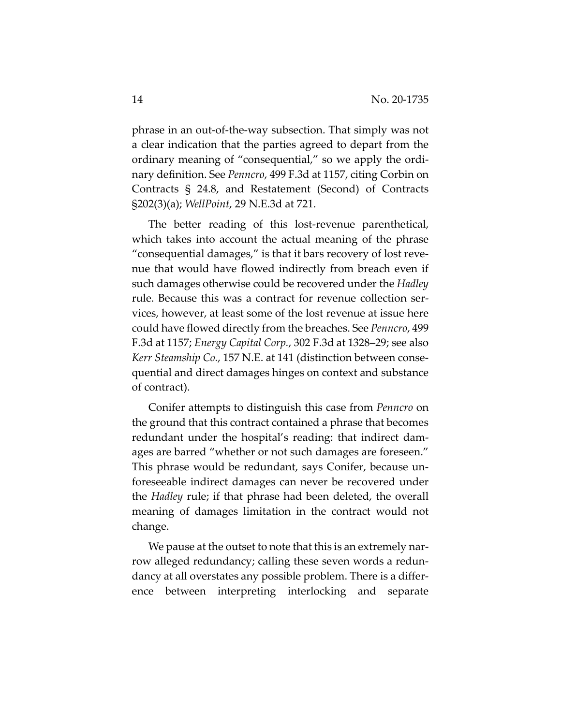phrase in an out-of-the-way subsection. That simply was not a clear indication that the parties agreed to depart from the ordinary meaning of "consequential," so we apply the ordinary definition. See *Penncro*, 499 F.3d at 1157, citing Corbin on Contracts § 24.8, and Restatement (Second) of Contracts §202(3)(a); *WellPoint*, 29 N.E.3d at 721.

The better reading of this lost-revenue parenthetical, which takes into account the actual meaning of the phrase "consequential damages," is that it bars recovery of lost revenue that would have flowed indirectly from breach even if such damages otherwise could be recovered under the *Hadley* rule. Because this was a contract for revenue collection services, however, at least some of the lost revenue at issue here could have flowed directly from the breaches. See *Penncro*, 499 F.3d at 1157; *Energy Capital Corp.*, 302 F.3d at 1328–29; see also *Kerr Steamship Co.*, 157 N.E. at 141 (distinction between consequential and direct damages hinges on context and substance of contract).

Conifer attempts to distinguish this case from *Penncro* on the ground that this contract contained a phrase that becomes redundant under the hospital's reading: that indirect damages are barred "whether or not such damages are foreseen." This phrase would be redundant, says Conifer, because unforeseeable indirect damages can never be recovered under the *Hadley* rule; if that phrase had been deleted, the overall meaning of damages limitation in the contract would not change.

We pause at the outset to note that this is an extremely narrow alleged redundancy; calling these seven words a redundancy at all overstates any possible problem. There is a difference between interpreting interlocking and separate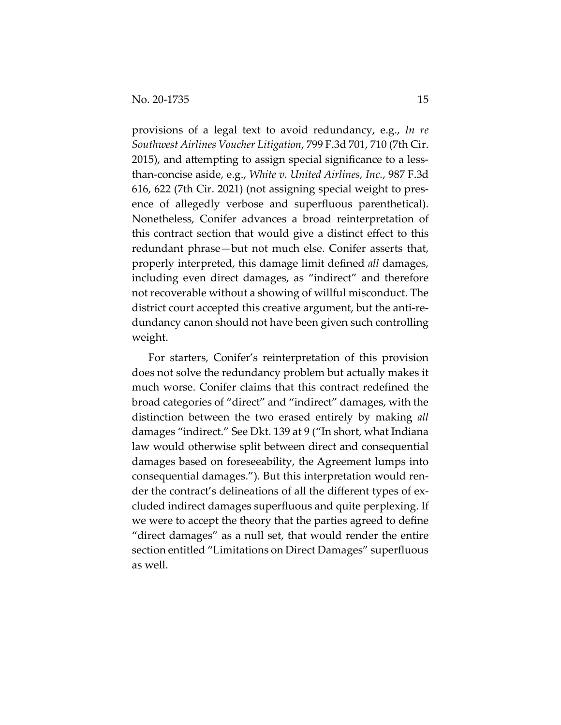provisions of a legal text to avoid redundancy, e.g., *In re Southwest Airlines Voucher Litigation*, 799 F.3d 701, 710 (7th Cir. 2015), and attempting to assign special significance to a lessthan-concise aside, e.g., *White v. United Airlines, Inc.*, 987 F.3d 616, 622 (7th Cir. 2021) (not assigning special weight to presence of allegedly verbose and superfluous parenthetical). Nonetheless, Conifer advances a broad reinterpretation of this contract section that would give a distinct effect to this redundant phrase—but not much else. Conifer asserts that, properly interpreted, this damage limit defined *all* damages, including even direct damages, as "indirect" and therefore not recoverable without a showing of willful misconduct. The district court accepted this creative argument, but the anti-redundancy canon should not have been given such controlling weight.

For starters, Conifer's reinterpretation of this provision does not solve the redundancy problem but actually makes it much worse. Conifer claims that this contract redefined the broad categories of "direct" and "indirect" damages, with the distinction between the two erased entirely by making *all* damages "indirect." See Dkt. 139 at 9 ("In short, what Indiana law would otherwise split between direct and consequential damages based on foreseeability, the Agreement lumps into consequential damages."). But this interpretation would render the contract's delineations of all the different types of excluded indirect damages superfluous and quite perplexing. If we were to accept the theory that the parties agreed to define "direct damages" as a null set, that would render the entire section entitled "Limitations on Direct Damages" superfluous as well.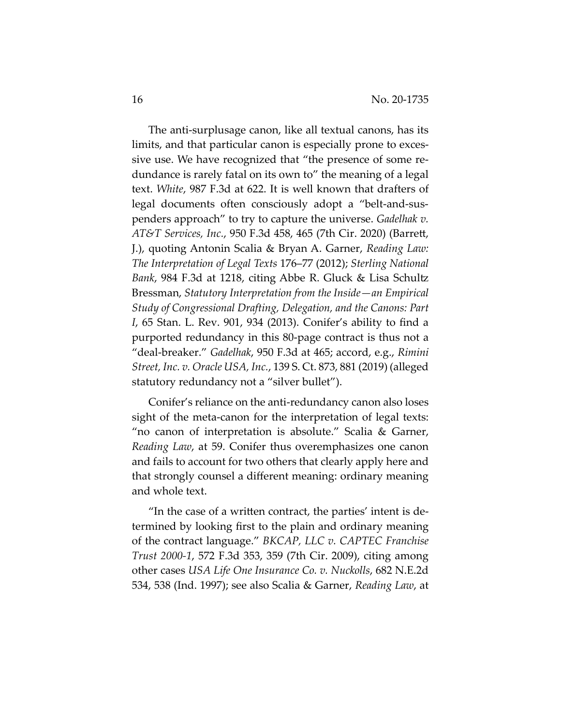The anti-surplusage canon, like all textual canons, has its limits, and that particular canon is especially prone to excessive use. We have recognized that "the presence of some redundance is rarely fatal on its own to" the meaning of a legal text. *White*, 987 F.3d at 622. It is well known that drafters of legal documents often consciously adopt a "belt-and-suspenders approach" to try to capture the universe. *Gadelhak v. AT&T Services, Inc.*, 950 F.3d 458, 465 (7th Cir. 2020) (Barrett, J.), quoting Antonin Scalia & Bryan A. Garner, *Reading Law: The Interpretation of Legal Texts* 176–77 (2012); *Sterling National Bank*, 984 F.3d at 1218, citing Abbe R. Gluck & Lisa Schultz Bressman, *Statutory Interpretation from the Inside—an Empirical Study of Congressional Drafting, Delegation, and the Canons: Part I*, 65 Stan. L. Rev. 901, 934 (2013). Conifer's ability to find a purported redundancy in this 80-page contract is thus not a "deal-breaker." *Gadelhak*, 950 F.3d at 465; accord, e.g., *Rimini Street, Inc. v. Oracle USA, Inc.*, 139 S. Ct. 873, 881 (2019) (alleged statutory redundancy not a "silver bullet").

Conifer's reliance on the anti-redundancy canon also loses sight of the meta-canon for the interpretation of legal texts: "no canon of interpretation is absolute." Scalia & Garner, *Reading Law*, at 59. Conifer thus overemphasizes one canon and fails to account for two others that clearly apply here and that strongly counsel a different meaning: ordinary meaning and whole text.

"In the case of a written contract, the parties' intent is determined by looking first to the plain and ordinary meaning of the contract language." *BKCAP, LLC v. CAPTEC Franchise Trust 2000-1*, 572 F.3d 353, 359 (7th Cir. 2009), citing among other cases *USA Life One Insurance Co. v. Nuckolls*, 682 N.E.2d 534, 538 (Ind. 1997); see also Scalia & Garner, *Reading Law*, at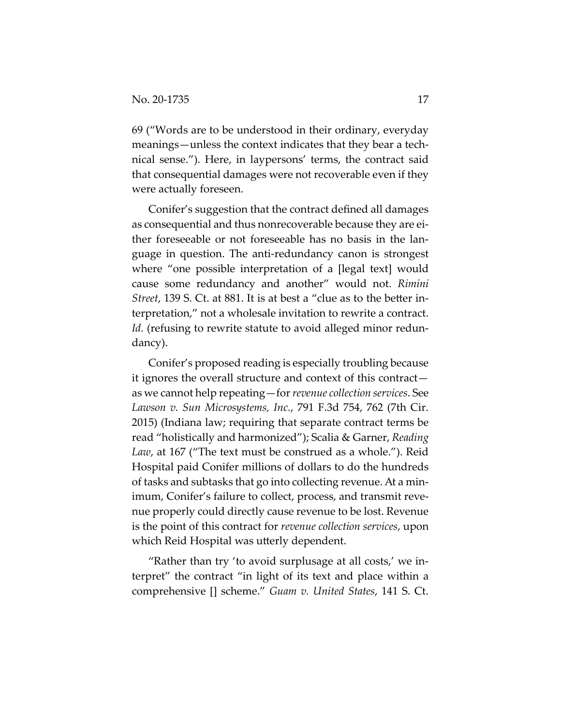69 ("Words are to be understood in their ordinary, everyday meanings—unless the context indicates that they bear a technical sense."). Here, in laypersons' terms, the contract said that consequential damages were not recoverable even if they were actually foreseen.

Conifer's suggestion that the contract defined all damages as consequential and thus nonrecoverable because they are either foreseeable or not foreseeable has no basis in the language in question. The anti-redundancy canon is strongest where "one possible interpretation of a [legal text] would cause some redundancy and another" would not. *Rimini Street*, 139 S. Ct. at 881. It is at best a "clue as to the better interpretation," not a wholesale invitation to rewrite a contract. Id. (refusing to rewrite statute to avoid alleged minor redundancy).

Conifer's proposed reading is especially troubling because it ignores the overall structure and context of this contract as we cannot help repeating—for *revenue collection services*. See *Lawson v. Sun Microsystems, Inc.*, 791 F.3d 754, 762 (7th Cir. 2015) (Indiana law; requiring that separate contract terms be read "holistically and harmonized"); Scalia & Garner, *Reading Law*, at 167 ("The text must be construed as a whole."). Reid Hospital paid Conifer millions of dollars to do the hundreds of tasks and subtasks that go into collecting revenue. At a minimum, Conifer's failure to collect, process, and transmit revenue properly could directly cause revenue to be lost. Revenue is the point of this contract for *revenue collection services*, upon which Reid Hospital was utterly dependent.

"Rather than try 'to avoid surplusage at all costs,' we interpret" the contract "in light of its text and place within a comprehensive [] scheme." *Guam v. United States*, 141 S. Ct.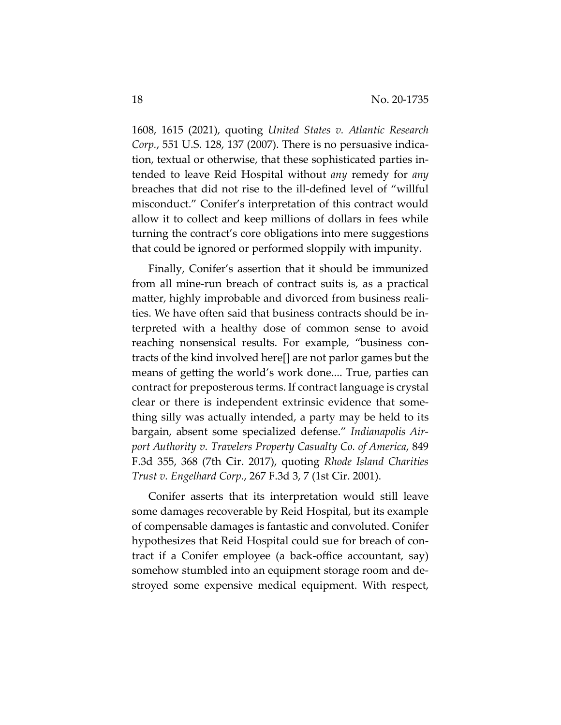1608, 1615 (2021), quoting *United States v. Atlantic Research Corp.*, 551 U.S. 128, 137 (2007). There is no persuasive indication, textual or otherwise, that these sophisticated parties intended to leave Reid Hospital without *any* remedy for *any* breaches that did not rise to the ill-defined level of "willful misconduct." Conifer's interpretation of this contract would allow it to collect and keep millions of dollars in fees while turning the contract's core obligations into mere suggestions that could be ignored or performed sloppily with impunity.

Finally, Conifer's assertion that it should be immunized from all mine-run breach of contract suits is, as a practical matter, highly improbable and divorced from business realities. We have often said that business contracts should be interpreted with a healthy dose of common sense to avoid reaching nonsensical results. For example, "business contracts of the kind involved here[] are not parlor games but the means of getting the world's work done.... True, parties can contract for preposterous terms. If contract language is crystal clear or there is independent extrinsic evidence that something silly was actually intended, a party may be held to its bargain, absent some specialized defense." *Indianapolis Airport Authority v. Travelers Property Casualty Co. of America*, 849 F.3d 355, 368 (7th Cir. 2017), quoting *Rhode Island Charities Trust v. Engelhard Corp.*, 267 F.3d 3, 7 (1st Cir. 2001).

Conifer asserts that its interpretation would still leave some damages recoverable by Reid Hospital, but its example of compensable damages is fantastic and convoluted. Conifer hypothesizes that Reid Hospital could sue for breach of contract if a Conifer employee (a back-office accountant, say) somehow stumbled into an equipment storage room and destroyed some expensive medical equipment. With respect,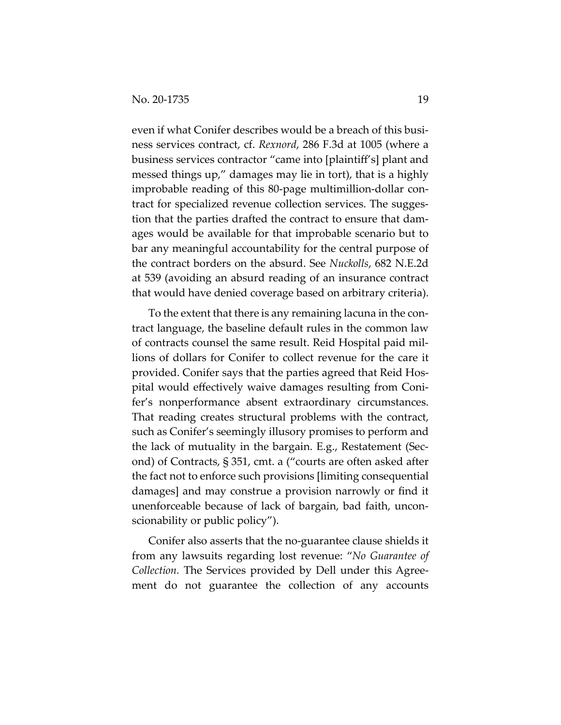even if what Conifer describes would be a breach of this business services contract, cf. *Rexnord*, 286 F.3d at 1005 (where a business services contractor "came into [plaintiff's] plant and messed things up," damages may lie in tort), that is a highly improbable reading of this 80-page multimillion-dollar contract for specialized revenue collection services. The suggestion that the parties drafted the contract to ensure that damages would be available for that improbable scenario but to bar any meaningful accountability for the central purpose of the contract borders on the absurd. See *Nuckolls*, 682 N.E.2d at 539 (avoiding an absurd reading of an insurance contract that would have denied coverage based on arbitrary criteria).

To the extent that there is any remaining lacuna in the contract language, the baseline default rules in the common law of contracts counsel the same result. Reid Hospital paid millions of dollars for Conifer to collect revenue for the care it provided. Conifer says that the parties agreed that Reid Hospital would effectively waive damages resulting from Conifer's nonperformance absent extraordinary circumstances. That reading creates structural problems with the contract, such as Conifer's seemingly illusory promises to perform and the lack of mutuality in the bargain. E.g., Restatement (Second) of Contracts, § 351, cmt. a ("courts are often asked after the fact not to enforce such provisions [limiting consequential damages] and may construe a provision narrowly or find it unenforceable because of lack of bargain, bad faith, unconscionability or public policy").

Conifer also asserts that the no-guarantee clause shields it from any lawsuits regarding lost revenue: "*No Guarantee of Collection.* The Services provided by Dell under this Agreement do not guarantee the collection of any accounts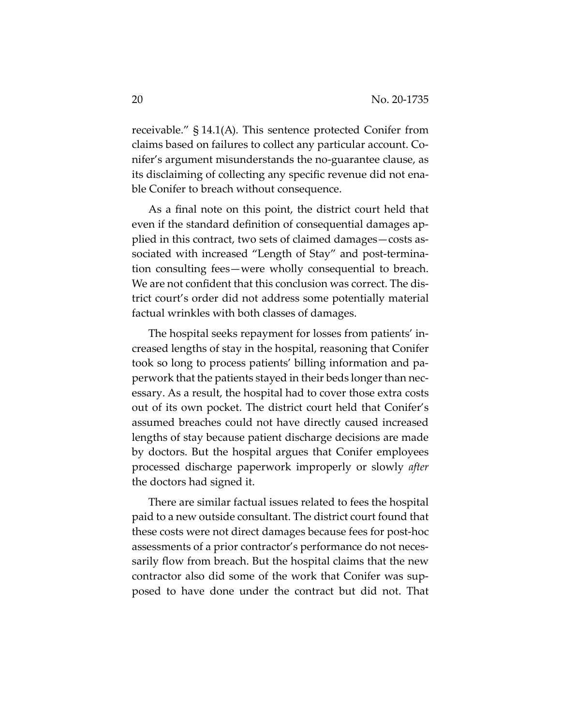receivable." § 14.1(A). This sentence protected Conifer from claims based on failures to collect any particular account. Conifer's argument misunderstands the no-guarantee clause, as its disclaiming of collecting any specific revenue did not enable Conifer to breach without consequence.

As a final note on this point, the district court held that even if the standard definition of consequential damages applied in this contract, two sets of claimed damages—costs associated with increased "Length of Stay" and post-termination consulting fees—were wholly consequential to breach. We are not confident that this conclusion was correct. The district court's order did not address some potentially material factual wrinkles with both classes of damages.

The hospital seeks repayment for losses from patients' increased lengths of stay in the hospital, reasoning that Conifer took so long to process patients' billing information and paperwork that the patients stayed in their beds longer than necessary. As a result, the hospital had to cover those extra costs out of its own pocket. The district court held that Conifer's assumed breaches could not have directly caused increased lengths of stay because patient discharge decisions are made by doctors. But the hospital argues that Conifer employees processed discharge paperwork improperly or slowly *after* the doctors had signed it.

There are similar factual issues related to fees the hospital paid to a new outside consultant. The district court found that these costs were not direct damages because fees for post-hoc assessments of a prior contractor's performance do not necessarily flow from breach. But the hospital claims that the new contractor also did some of the work that Conifer was supposed to have done under the contract but did not. That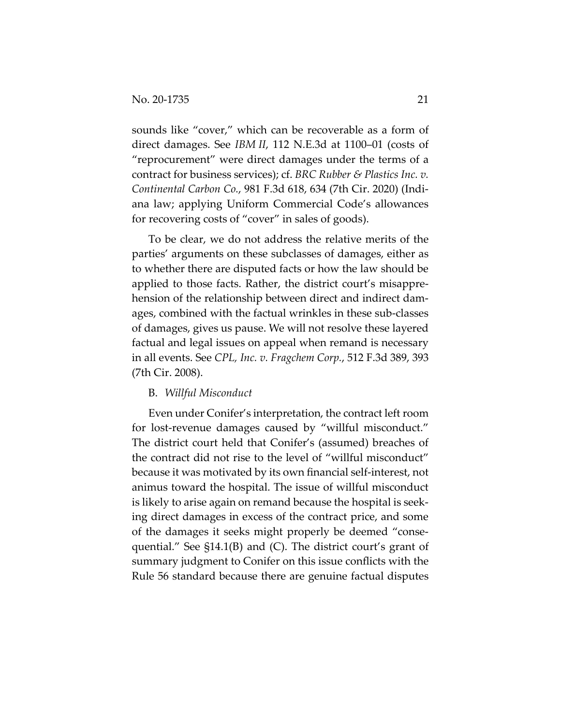sounds like "cover," which can be recoverable as a form of direct damages. See *IBM II*, 112 N.E.3d at 1100–01 (costs of "reprocurement" were direct damages under the terms of a contract for business services); cf. *BRC Rubber & Plastics Inc. v. Continental Carbon Co.*, 981 F.3d 618, 634 (7th Cir. 2020) (Indiana law; applying Uniform Commercial Code's allowances for recovering costs of "cover" in sales of goods).

To be clear, we do not address the relative merits of the parties' arguments on these subclasses of damages, either as to whether there are disputed facts or how the law should be applied to those facts. Rather, the district court's misapprehension of the relationship between direct and indirect damages, combined with the factual wrinkles in these sub-classes of damages, gives us pause. We will not resolve these layered factual and legal issues on appeal when remand is necessary in all events. See *CPL, Inc. v. Fragchem Corp.*, 512 F.3d 389, 393 (7th Cir. 2008).

#### B. *Willful Misconduct*

Even under Conifer's interpretation, the contract left room for lost-revenue damages caused by "willful misconduct." The district court held that Conifer's (assumed) breaches of the contract did not rise to the level of "willful misconduct" because it was motivated by its own financial self-interest, not animus toward the hospital. The issue of willful misconduct is likely to arise again on remand because the hospital is seeking direct damages in excess of the contract price, and some of the damages it seeks might properly be deemed "consequential." See §14.1(B) and (C). The district court's grant of summary judgment to Conifer on this issue conflicts with the Rule 56 standard because there are genuine factual disputes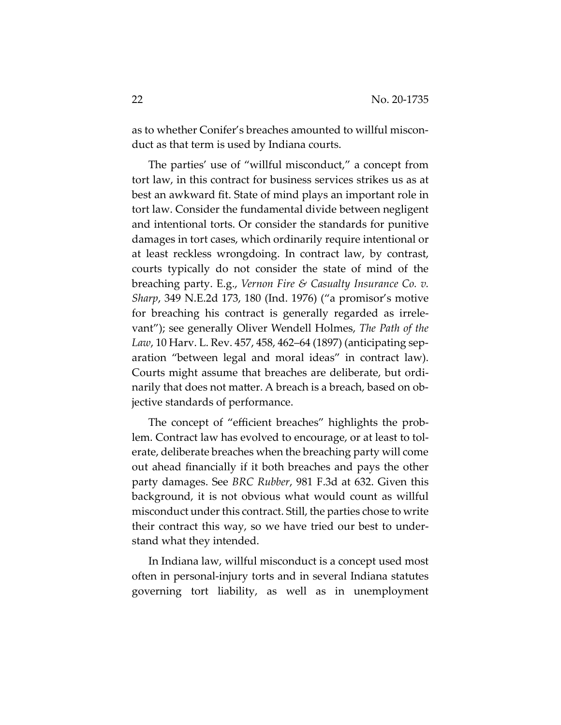as to whether Conifer's breaches amounted to willful misconduct as that term is used by Indiana courts.

The parties' use of "willful misconduct," a concept from tort law, in this contract for business services strikes us as at best an awkward fit. State of mind plays an important role in tort law. Consider the fundamental divide between negligent and intentional torts. Or consider the standards for punitive damages in tort cases, which ordinarily require intentional or at least reckless wrongdoing. In contract law, by contrast, courts typically do not consider the state of mind of the breaching party. E.g., *Vernon Fire & Casualty Insurance Co. v. Sharp*, 349 N.E.2d 173, 180 (Ind. 1976) ("a promisor's motive for breaching his contract is generally regarded as irrelevant"); see generally Oliver Wendell Holmes, *The Path of the Law*, 10 Harv. L. Rev. 457, 458, 462–64 (1897) (anticipating separation "between legal and moral ideas" in contract law). Courts might assume that breaches are deliberate, but ordinarily that does not matter. A breach is a breach, based on objective standards of performance.

The concept of "efficient breaches" highlights the problem. Contract law has evolved to encourage, or at least to tolerate, deliberate breaches when the breaching party will come out ahead financially if it both breaches and pays the other party damages. See *BRC Rubber*, 981 F.3d at 632. Given this background, it is not obvious what would count as willful misconduct under this contract. Still, the parties chose to write their contract this way, so we have tried our best to understand what they intended.

In Indiana law, willful misconduct is a concept used most often in personal-injury torts and in several Indiana statutes governing tort liability, as well as in unemployment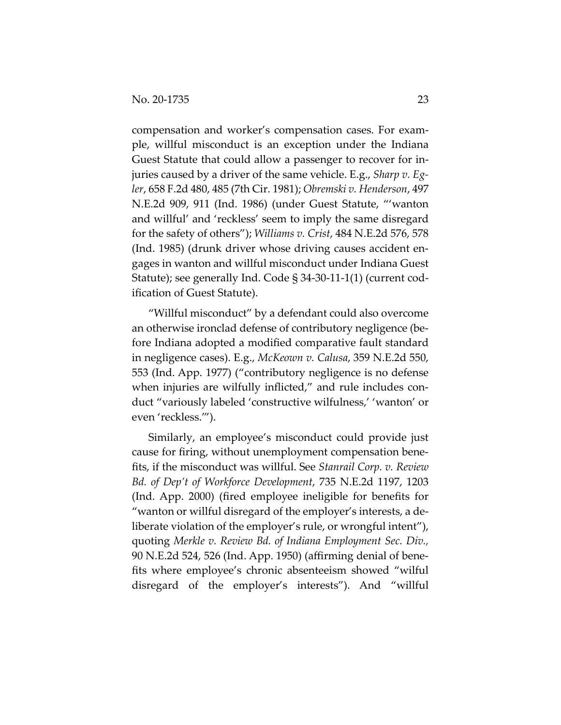compensation and worker's compensation cases. For example, willful misconduct is an exception under the Indiana Guest Statute that could allow a passenger to recover for injuries caused by a driver of the same vehicle. E.g., *Sharp v. Egler*, 658 F.2d 480, 485 (7th Cir. 1981); *Obremski v. Henderson*, 497 N.E.2d 909, 911 (Ind. 1986) (under Guest Statute, "'wanton and willful' and 'reckless' seem to imply the same disregard for the safety of others"); *Williams v. Crist*, 484 N.E.2d 576, 578 (Ind. 1985) (drunk driver whose driving causes accident engages in wanton and willful misconduct under Indiana Guest Statute); see generally Ind. Code § 34-30-11-1(1) (current codification of Guest Statute).

"Willful misconduct" by a defendant could also overcome an otherwise ironclad defense of contributory negligence (before Indiana adopted a modified comparative fault standard in negligence cases). E.g., *McKeown v. Calusa*, 359 N.E.2d 550, 553 (Ind. App. 1977) ("contributory negligence is no defense when injuries are wilfully inflicted," and rule includes conduct "variously labeled 'constructive wilfulness,' 'wanton' or even 'reckless.'").

Similarly, an employee's misconduct could provide just cause for firing, without unemployment compensation benefits, if the misconduct was willful. See *Stanrail Corp. v. Review Bd. of Dep't of Workforce Development*, 735 N.E.2d 1197, 1203 (Ind. App. 2000) (fired employee ineligible for benefits for "wanton or willful disregard of the employer's interests, a deliberate violation of the employer's rule, or wrongful intent"), quoting *Merkle v. Review Bd. of Indiana Employment Sec. Div.,* 90 N.E.2d 524, 526 (Ind. App. 1950) (affirming denial of benefits where employee's chronic absenteeism showed "wilful disregard of the employer's interests"). And "willful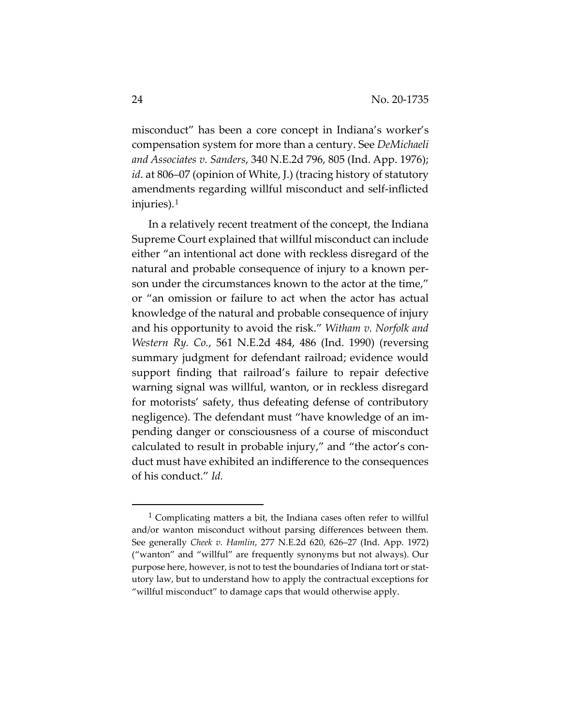misconduct" has been a core concept in Indiana's worker's compensation system for more than a century. See *DeMichaeli and Associates v. Sanders*, 340 N.E.2d 796, 805 (Ind. App. 1976); *id*. at 806–07 (opinion of White, J.) (tracing history of statutory amendments regarding willful misconduct and self-inflicted injuries).1

In a relatively recent treatment of the concept, the Indiana Supreme Court explained that willful misconduct can include either "an intentional act done with reckless disregard of the natural and probable consequence of injury to a known person under the circumstances known to the actor at the time," or "an omission or failure to act when the actor has actual knowledge of the natural and probable consequence of injury and his opportunity to avoid the risk." *Witham v. Norfolk and Western Ry. Co.*, 561 N.E.2d 484, 486 (Ind. 1990) (reversing summary judgment for defendant railroad; evidence would support finding that railroad's failure to repair defective warning signal was willful, wanton, or in reckless disregard for motorists' safety, thus defeating defense of contributory negligence). The defendant must "have knowledge of an impending danger or consciousness of a course of misconduct calculated to result in probable injury," and "the actor's conduct must have exhibited an indifference to the consequences of his conduct." *Id.* 

 $1$  Complicating matters a bit, the Indiana cases often refer to willful and/or wanton misconduct without parsing differences between them. See generally *Cheek v. Hamlin*, 277 N.E.2d 620, 626–27 (Ind. App. 1972) ("wanton" and "willful" are frequently synonyms but not always). Our purpose here, however, is not to test the boundaries of Indiana tort or statutory law, but to understand how to apply the contractual exceptions for "willful misconduct" to damage caps that would otherwise apply.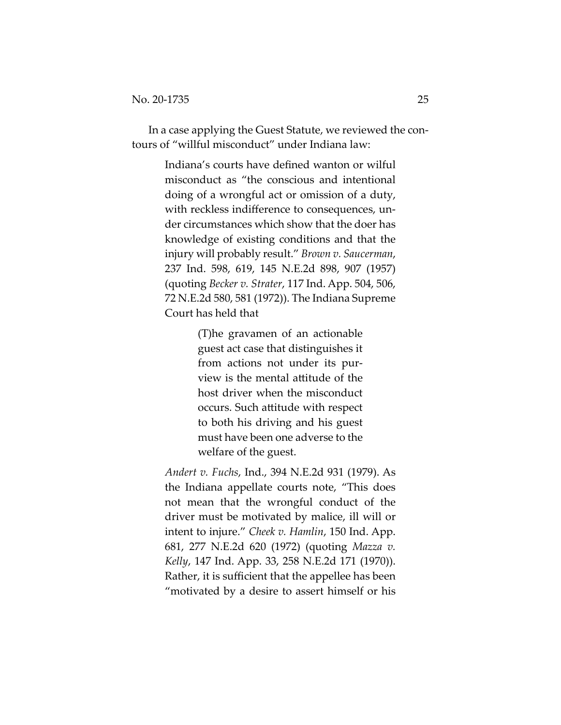In a case applying the Guest Statute, we reviewed the contours of "willful misconduct" under Indiana law:

> Indiana's courts have defined wanton or wilful misconduct as "the conscious and intentional doing of a wrongful act or omission of a duty, with reckless indifference to consequences, under circumstances which show that the doer has knowledge of existing conditions and that the injury will probably result." *Brown v. Saucerman*, 237 Ind. 598, 619, 145 N.E.2d 898, 907 (1957) (quoting *Becker v. Strater*, 117 Ind. App. 504, 506, 72 N.E.2d 580, 581 (1972)). The Indiana Supreme Court has held that

> > (T)he gravamen of an actionable guest act case that distinguishes it from actions not under its purview is the mental attitude of the host driver when the misconduct occurs. Such attitude with respect to both his driving and his guest must have been one adverse to the welfare of the guest.

*Andert v. Fuchs*, Ind., 394 N.E.2d 931 (1979). As the Indiana appellate courts note, "This does not mean that the wrongful conduct of the driver must be motivated by malice, ill will or intent to injure." *Cheek v. Hamlin*, 150 Ind. App. 681, 277 N.E.2d 620 (1972) (quoting *Mazza v. Kelly*, 147 Ind. App. 33, 258 N.E.2d 171 (1970)). Rather, it is sufficient that the appellee has been "motivated by a desire to assert himself or his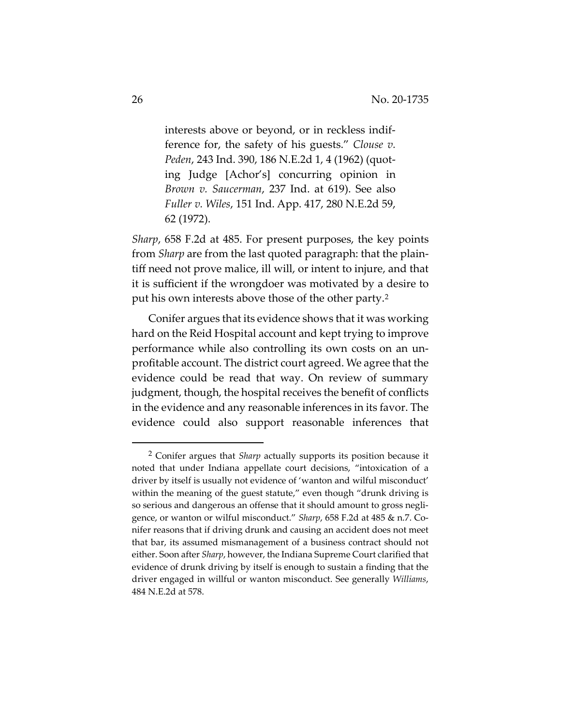interests above or beyond, or in reckless indifference for, the safety of his guests." *Clouse v. Peden*, 243 Ind. 390, 186 N.E.2d 1, 4 (1962) (quoting Judge [Achor's] concurring opinion in *Brown v. Saucerman*, 237 Ind. at 619). See also *Fuller v. Wiles*, 151 Ind. App. 417, 280 N.E.2d 59, 62 (1972).

*Sharp*, 658 F.2d at 485. For present purposes, the key points from *Sharp* are from the last quoted paragraph: that the plaintiff need not prove malice, ill will, or intent to injure, and that it is sufficient if the wrongdoer was motivated by a desire to put his own interests above those of the other party.2

Conifer argues that its evidence shows that it was working hard on the Reid Hospital account and kept trying to improve performance while also controlling its own costs on an unprofitable account. The district court agreed. We agree that the evidence could be read that way. On review of summary judgment, though, the hospital receives the benefit of conflicts in the evidence and any reasonable inferences in its favor. The evidence could also support reasonable inferences that

<sup>2</sup> Conifer argues that *Sharp* actually supports its position because it noted that under Indiana appellate court decisions, "intoxication of a driver by itself is usually not evidence of 'wanton and wilful misconduct' within the meaning of the guest statute," even though "drunk driving is so serious and dangerous an offense that it should amount to gross negligence, or wanton or wilful misconduct." *Sharp*, 658 F.2d at 485 & n.7. Conifer reasons that if driving drunk and causing an accident does not meet that bar, its assumed mismanagement of a business contract should not either. Soon after *Sharp*, however, the Indiana Supreme Court clarified that evidence of drunk driving by itself is enough to sustain a finding that the driver engaged in willful or wanton misconduct. See generally *Williams*, 484 N.E.2d at 578.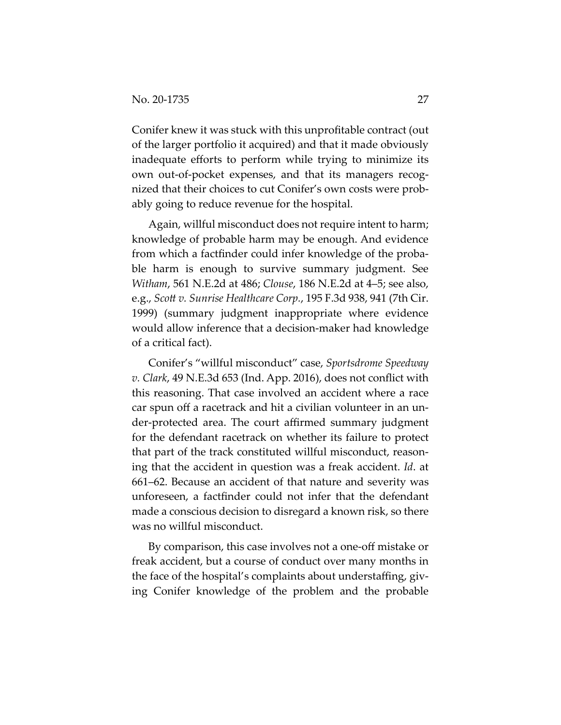Conifer knew it was stuck with this unprofitable contract (out of the larger portfolio it acquired) and that it made obviously inadequate efforts to perform while trying to minimize its own out-of-pocket expenses, and that its managers recognized that their choices to cut Conifer's own costs were probably going to reduce revenue for the hospital.

Again, willful misconduct does not require intent to harm; knowledge of probable harm may be enough. And evidence from which a factfinder could infer knowledge of the probable harm is enough to survive summary judgment. See *Witham*, 561 N.E.2d at 486; *Clouse*, 186 N.E.2d at 4–5; see also, e.g., *Scott v. Sunrise Healthcare Corp.*, 195 F.3d 938, 941 (7th Cir. 1999) (summary judgment inappropriate where evidence would allow inference that a decision-maker had knowledge of a critical fact).

Conifer's "willful misconduct" case, *Sportsdrome Speedway v. Clark*, 49 N.E.3d 653 (Ind. App. 2016), does not conflict with this reasoning. That case involved an accident where a race car spun off a racetrack and hit a civilian volunteer in an under-protected area. The court affirmed summary judgment for the defendant racetrack on whether its failure to protect that part of the track constituted willful misconduct, reasoning that the accident in question was a freak accident. *Id*. at 661–62. Because an accident of that nature and severity was unforeseen, a factfinder could not infer that the defendant made a conscious decision to disregard a known risk, so there was no willful misconduct.

By comparison, this case involves not a one-off mistake or freak accident, but a course of conduct over many months in the face of the hospital's complaints about understaffing, giving Conifer knowledge of the problem and the probable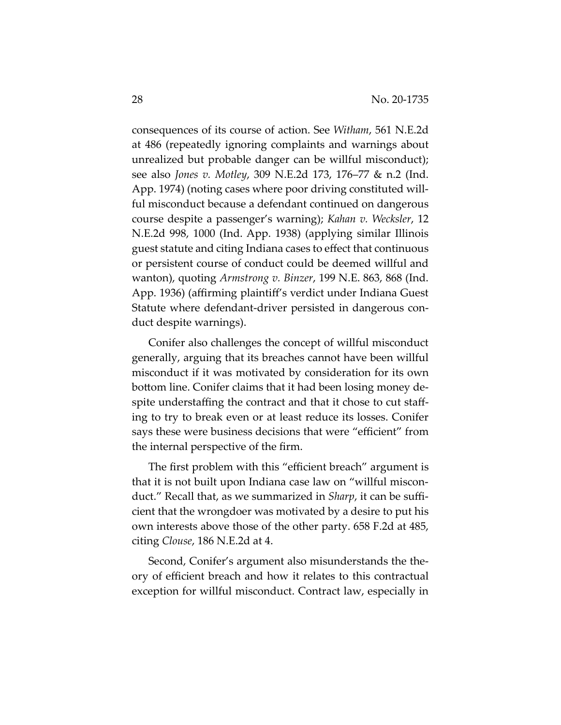consequences of its course of action. See *Witham*, 561 N.E.2d at 486 (repeatedly ignoring complaints and warnings about unrealized but probable danger can be willful misconduct); see also *Jones v. Motley*, 309 N.E.2d 173, 176–77 & n.2 (Ind. App. 1974) (noting cases where poor driving constituted willful misconduct because a defendant continued on dangerous course despite a passenger's warning); *Kahan v. Wecksler*, 12 N.E.2d 998, 1000 (Ind. App. 1938) (applying similar Illinois guest statute and citing Indiana cases to effect that continuous or persistent course of conduct could be deemed willful and wanton), quoting *Armstrong v. Binzer*, 199 N.E. 863, 868 (Ind. App. 1936) (affirming plaintiff's verdict under Indiana Guest Statute where defendant-driver persisted in dangerous conduct despite warnings).

Conifer also challenges the concept of willful misconduct generally, arguing that its breaches cannot have been willful misconduct if it was motivated by consideration for its own bottom line. Conifer claims that it had been losing money despite understaffing the contract and that it chose to cut staffing to try to break even or at least reduce its losses. Conifer says these were business decisions that were "efficient" from the internal perspective of the firm.

The first problem with this "efficient breach" argument is that it is not built upon Indiana case law on "willful misconduct." Recall that, as we summarized in *Sharp*, it can be sufficient that the wrongdoer was motivated by a desire to put his own interests above those of the other party. 658 F.2d at 485, citing *Clouse*, 186 N.E.2d at 4.

Second, Conifer's argument also misunderstands the theory of efficient breach and how it relates to this contractual exception for willful misconduct. Contract law, especially in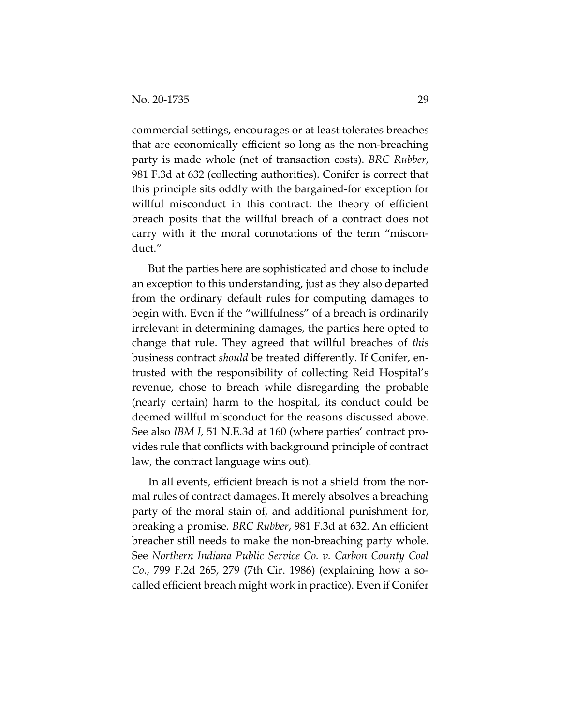commercial settings, encourages or at least tolerates breaches that are economically efficient so long as the non-breaching party is made whole (net of transaction costs). *BRC Rubber*, 981 F.3d at 632 (collecting authorities). Conifer is correct that this principle sits oddly with the bargained-for exception for willful misconduct in this contract: the theory of efficient breach posits that the willful breach of a contract does not carry with it the moral connotations of the term "misconduct."

But the parties here are sophisticated and chose to include an exception to this understanding, just as they also departed from the ordinary default rules for computing damages to begin with. Even if the "willfulness" of a breach is ordinarily irrelevant in determining damages, the parties here opted to change that rule. They agreed that willful breaches of *this* business contract *should* be treated differently. If Conifer, entrusted with the responsibility of collecting Reid Hospital's revenue, chose to breach while disregarding the probable (nearly certain) harm to the hospital, its conduct could be deemed willful misconduct for the reasons discussed above. See also *IBM I*, 51 N.E.3d at 160 (where parties' contract provides rule that conflicts with background principle of contract law, the contract language wins out).

In all events, efficient breach is not a shield from the normal rules of contract damages. It merely absolves a breaching party of the moral stain of, and additional punishment for, breaking a promise. *BRC Rubber*, 981 F.3d at 632. An efficient breacher still needs to make the non-breaching party whole. See *Northern Indiana Public Service Co. v. Carbon County Coal Co.*, 799 F.2d 265, 279 (7th Cir. 1986) (explaining how a socalled efficient breach might work in practice). Even if Conifer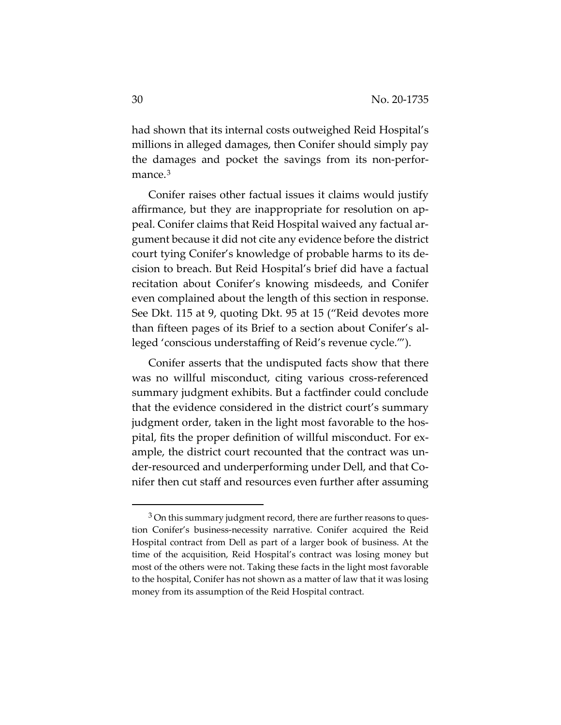had shown that its internal costs outweighed Reid Hospital's millions in alleged damages, then Conifer should simply pay the damages and pocket the savings from its non-performance.<sup>3</sup>

Conifer raises other factual issues it claims would justify affirmance, but they are inappropriate for resolution on appeal. Conifer claims that Reid Hospital waived any factual argument because it did not cite any evidence before the district court tying Conifer's knowledge of probable harms to its decision to breach. But Reid Hospital's brief did have a factual recitation about Conifer's knowing misdeeds, and Conifer even complained about the length of this section in response. See Dkt. 115 at 9, quoting Dkt. 95 at 15 ("Reid devotes more than fifteen pages of its Brief to a section about Conifer's alleged 'conscious understaffing of Reid's revenue cycle.'").

Conifer asserts that the undisputed facts show that there was no willful misconduct, citing various cross-referenced summary judgment exhibits. But a factfinder could conclude that the evidence considered in the district court's summary judgment order, taken in the light most favorable to the hospital, fits the proper definition of willful misconduct. For example, the district court recounted that the contract was under-resourced and underperforming under Dell, and that Conifer then cut staff and resources even further after assuming

 $3$  On this summary judgment record, there are further reasons to question Conifer's business-necessity narrative. Conifer acquired the Reid Hospital contract from Dell as part of a larger book of business. At the time of the acquisition, Reid Hospital's contract was losing money but most of the others were not. Taking these facts in the light most favorable to the hospital, Conifer has not shown as a matter of law that it was losing money from its assumption of the Reid Hospital contract.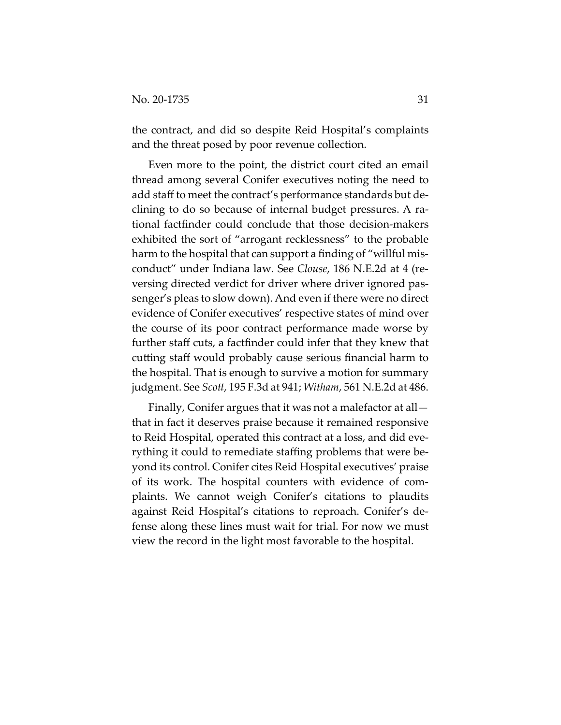the contract, and did so despite Reid Hospital's complaints and the threat posed by poor revenue collection.

Even more to the point, the district court cited an email thread among several Conifer executives noting the need to add staff to meet the contract's performance standards but declining to do so because of internal budget pressures. A rational factfinder could conclude that those decision-makers exhibited the sort of "arrogant recklessness" to the probable harm to the hospital that can support a finding of "willful misconduct" under Indiana law. See *Clouse*, 186 N.E.2d at 4 (reversing directed verdict for driver where driver ignored passenger's pleas to slow down). And even if there were no direct evidence of Conifer executives' respective states of mind over the course of its poor contract performance made worse by further staff cuts, a factfinder could infer that they knew that cutting staff would probably cause serious financial harm to the hospital. That is enough to survive a motion for summary judgment. See *Scott*, 195 F.3d at 941; *Witham*, 561 N.E.2d at 486.

Finally, Conifer argues that it was not a malefactor at all that in fact it deserves praise because it remained responsive to Reid Hospital, operated this contract at a loss, and did everything it could to remediate staffing problems that were beyond its control. Conifer cites Reid Hospital executives' praise of its work. The hospital counters with evidence of complaints. We cannot weigh Conifer's citations to plaudits against Reid Hospital's citations to reproach. Conifer's defense along these lines must wait for trial. For now we must view the record in the light most favorable to the hospital.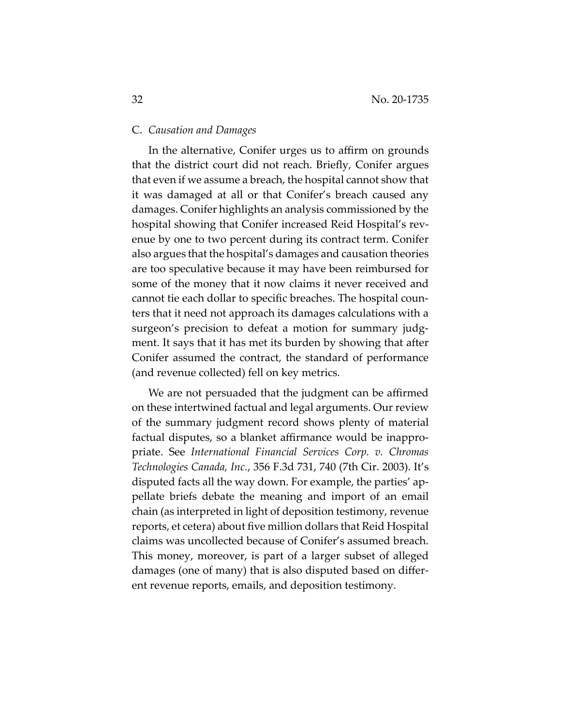## C. *Causation and Damages*

In the alternative, Conifer urges us to affirm on grounds that the district court did not reach. Briefly, Conifer argues that even if we assume a breach, the hospital cannot show that it was damaged at all or that Conifer's breach caused any damages. Conifer highlights an analysis commissioned by the hospital showing that Conifer increased Reid Hospital's revenue by one to two percent during its contract term. Conifer also argues that the hospital's damages and causation theories are too speculative because it may have been reimbursed for some of the money that it now claims it never received and cannot tie each dollar to specific breaches. The hospital counters that it need not approach its damages calculations with a surgeon's precision to defeat a motion for summary judgment. It says that it has met its burden by showing that after Conifer assumed the contract, the standard of performance (and revenue collected) fell on key metrics.

We are not persuaded that the judgment can be affirmed on these intertwined factual and legal arguments. Our review of the summary judgment record shows plenty of material factual disputes, so a blanket affirmance would be inappropriate. See *International Financial Services Corp. v. Chromas Technologies Canada, Inc.*, 356 F.3d 731, 740 (7th Cir. 2003). It's disputed facts all the way down. For example, the parties' appellate briefs debate the meaning and import of an email chain (as interpreted in light of deposition testimony, revenue reports, et cetera) about five million dollars that Reid Hospital claims was uncollected because of Conifer's assumed breach. This money, moreover, is part of a larger subset of alleged damages (one of many) that is also disputed based on different revenue reports, emails, and deposition testimony.